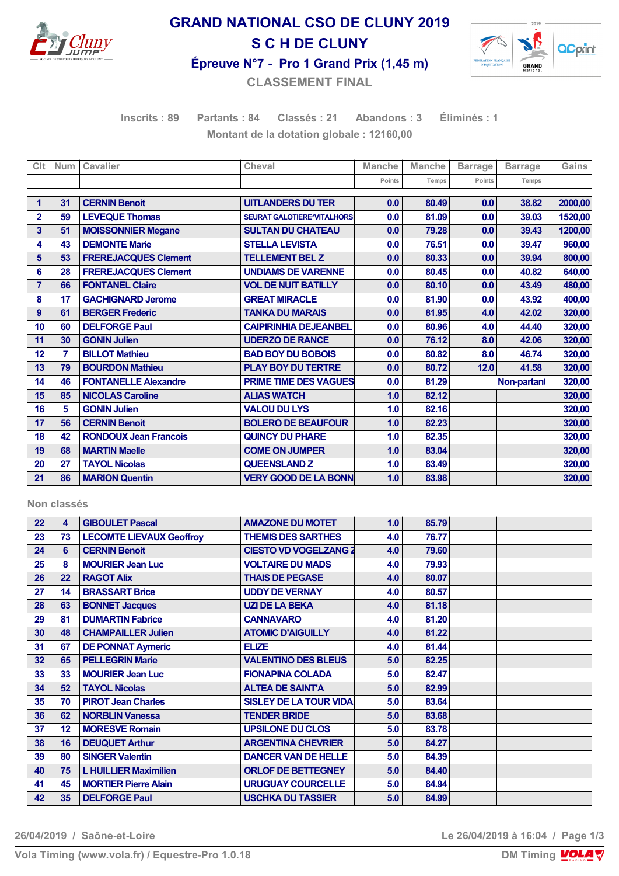

# **GRAND NATIONAL CSO DE CLUNY 2019 S C H DE CLUNY**



**Épreuve N°7 - Pro 1 Grand Prix (1,45 m)**

**CLASSEMENT FINAL**

**Inscrits : 89 Partants : 84 Classés : 21 Abandons : 3 Éliminés : 1 Montant de la dotation globale : 12160,00**

| Clt            | <b>Num</b> | Cavalier                     | Cheval                             | <b>Manche</b> | <b>Manche</b> | <b>Barrage</b> | <b>Barrage</b> | Gains   |
|----------------|------------|------------------------------|------------------------------------|---------------|---------------|----------------|----------------|---------|
|                |            |                              |                                    | Points        | Temps         | Points         | Temps          |         |
|                | 31         | <b>CERNIN Benoit</b>         |                                    |               |               |                |                |         |
| 1              |            |                              | <b>UITLANDERS DU TER</b>           | 0.0           | 80.49         | 0.0            | 38.82          | 2000,00 |
| $\overline{2}$ | 59         | <b>LEVEQUE Thomas</b>        | <b>SEURAT GALOTIERE*VITALHORSI</b> | 0.0           | 81.09         | 0.0            | 39.03          | 1520,00 |
| 3              | 51         | <b>MOISSONNIER Megane</b>    | <b>SULTAN DU CHATEAU</b>           | 0.0           | 79.28         | 0.0            | 39.43          | 1200,00 |
| 4              | 43         | <b>DEMONTE Marie</b>         | <b>STELLA LEVISTA</b>              | 0.0           | 76.51         | 0.0            | 39.47          | 960,00  |
| 5              | 53         | <b>FREREJACQUES Clement</b>  | <b>TELLEMENT BEL Z</b>             | 0.0           | 80.33         | 0.0            | 39.94          | 800,00  |
| 6              | 28         | <b>FREREJACQUES Clement</b>  | <b>UNDIAMS DE VARENNE</b>          | 0.0           | 80.45         | 0.0            | 40.82          | 640,00  |
| $\overline{7}$ | 66         | <b>FONTANEL Claire</b>       | <b>VOL DE NUIT BATILLY</b>         | 0.0           | 80.10         | 0.0            | 43.49          | 480,00  |
| 8              | 17         | <b>GACHIGNARD Jerome</b>     | <b>GREAT MIRACLE</b>               | 0.0           | 81.90         | 0.0            | 43.92          | 400,00  |
| 9              | 61         | <b>BERGER Frederic</b>       | <b>TANKA DU MARAIS</b>             | 0.0           | 81.95         | 4.0            | 42.02          | 320,00  |
| 10             | 60         | <b>DELFORGE Paul</b>         | <b>CAIPIRINHIA DEJEANBEL</b>       | 0.0           | 80.96         | 4.0            | 44.40          | 320,00  |
| 11             | 30         | <b>GONIN Julien</b>          | <b>UDERZO DE RANCE</b>             | 0.0           | 76.12         | 8.0            | 42.06          | 320,00  |
| 12             | 7          | <b>BILLOT Mathieu</b>        | <b>BAD BOY DU BOBOIS</b>           | 0.0           | 80.82         | 8.0            | 46.74          | 320,00  |
| 13             | 79         | <b>BOURDON Mathieu</b>       | <b>PLAY BOY DU TERTRE</b>          | 0.0           | 80.72         | 12.0           | 41.58          | 320,00  |
| 14             | 46         | <b>FONTANELLE Alexandre</b>  | <b>PRIME TIME DES VAGUES</b>       | 0.0           | 81.29         |                | Non-partan     | 320,00  |
| 15             | 85         | <b>NICOLAS Caroline</b>      | <b>ALIAS WATCH</b>                 | 1.0           | 82.12         |                |                | 320,00  |
| 16             | 5          | <b>GONIN Julien</b>          | <b>VALOU DU LYS</b>                | 1.0           | 82.16         |                |                | 320,00  |
| 17             | 56         | <b>CERNIN Benoit</b>         | <b>BOLERO DE BEAUFOUR</b>          | 1.0           | 82.23         |                |                | 320,00  |
| 18             | 42         | <b>RONDOUX Jean Francois</b> | <b>QUINCY DU PHARE</b>             | 1.0           | 82.35         |                |                | 320,00  |
| 19             | 68         | <b>MARTIN Maelle</b>         | <b>COME ON JUMPER</b>              | 1.0           | 83.04         |                |                | 320,00  |
| 20             | 27         | <b>TAYOL Nicolas</b>         | <b>QUEENSLAND Z</b>                | 1.0           | 83.49         |                |                | 320,00  |
| 21             | 86         | <b>MARION Quentin</b>        | <b>VERY GOOD DE LA BONN</b>        | 1.0           | 83.98         |                |                | 320,00  |

#### **Non classés**

| 22 | 4  | <b>GIBOULET Pascal</b>          | <b>AMAZONE DU MOTET</b>        | 1.0 | 85.79 |  |  |
|----|----|---------------------------------|--------------------------------|-----|-------|--|--|
| 23 | 73 | <b>LECOMTE LIEVAUX Geoffroy</b> | <b>THEMIS DES SARTHES</b>      | 4.0 | 76.77 |  |  |
| 24 | 6  | <b>CERNIN Benoit</b>            | <b>CIESTO VD VOGELZANG 2</b>   | 4.0 | 79.60 |  |  |
| 25 | 8  | <b>MOURIER Jean Luc</b>         | <b>VOLTAIRE DU MADS</b>        | 4.0 | 79.93 |  |  |
| 26 | 22 | <b>RAGOT Alix</b>               | <b>THAIS DE PEGASE</b>         | 4.0 | 80.07 |  |  |
| 27 | 14 | <b>BRASSART Brice</b>           | <b>UDDY DE VERNAY</b>          | 4.0 | 80.57 |  |  |
| 28 | 63 | <b>BONNET Jacques</b>           | <b>UZI DE LA BEKA</b>          | 4.0 | 81.18 |  |  |
| 29 | 81 | <b>DUMARTIN Fabrice</b>         | <b>CANNAVARO</b>               | 4.0 | 81.20 |  |  |
| 30 | 48 | <b>CHAMPAILLER Julien</b>       | <b>ATOMIC D'AIGUILLY</b>       | 4.0 | 81.22 |  |  |
| 31 | 67 | <b>DE PONNAT Aymeric</b>        | <b>ELIZE</b>                   | 4.0 | 81.44 |  |  |
| 32 | 65 | <b>PELLEGRIN Marie</b>          | <b>VALENTINO DES BLEUS</b>     | 5.0 | 82.25 |  |  |
| 33 | 33 | <b>MOURIER Jean Luc</b>         | <b>FIONAPINA COLADA</b>        | 5.0 | 82.47 |  |  |
| 34 | 52 | <b>TAYOL Nicolas</b>            | <b>ALTEA DE SAINTA</b>         | 5.0 | 82.99 |  |  |
| 35 | 70 | <b>PIROT Jean Charles</b>       | <b>SISLEY DE LA TOUR VIDAI</b> | 5.0 | 83.64 |  |  |
| 36 | 62 | <b>NORBLIN Vanessa</b>          | <b>TENDER BRIDE</b>            | 5.0 | 83.68 |  |  |
| 37 | 12 | <b>MORESVE Romain</b>           | <b>UPSILONE DU CLOS</b>        | 5.0 | 83.78 |  |  |
| 38 | 16 | <b>DEUQUET Arthur</b>           | <b>ARGENTINA CHEVRIER</b>      | 5.0 | 84.27 |  |  |
| 39 | 80 | <b>SINGER Valentin</b>          | <b>DANCER VAN DE HELLE</b>     | 5.0 | 84.39 |  |  |
| 40 | 75 | <b>L HUILLIER Maximilien</b>    | <b>ORLOF DE BETTEGNEY</b>      | 5.0 | 84.40 |  |  |
| 41 | 45 | <b>MORTIER Pierre Alain</b>     | <b>URUGUAY COURCELLE</b>       | 5.0 | 84.94 |  |  |
| 42 | 35 | <b>DELFORGE Paul</b>            | <b>USCHKA DU TASSIER</b>       | 5.0 | 84.99 |  |  |

**26/04/2019 / Saône-et-Loire Le 26/04/2019 à 16:04 / Page 1/3**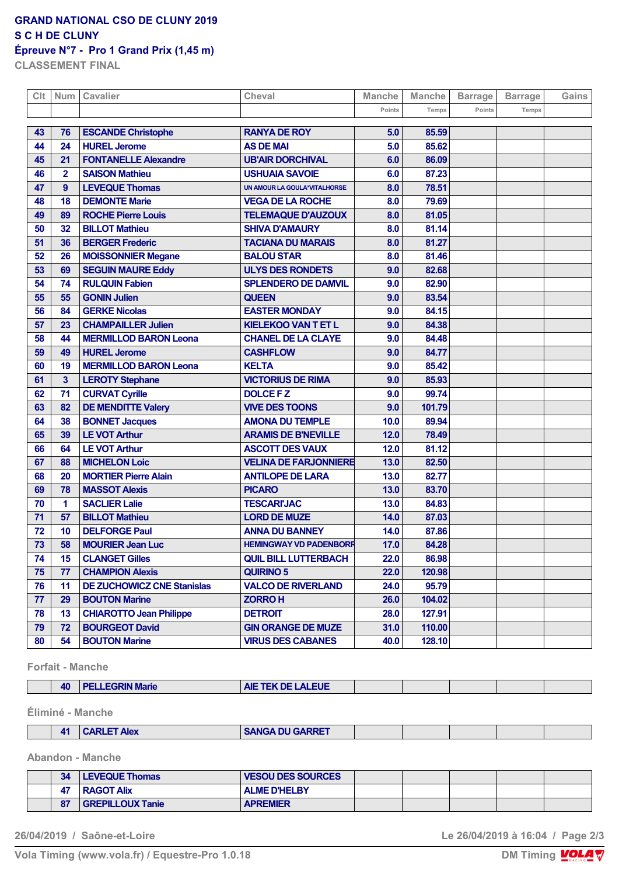#### **GRAND NATIONAL CSO DE CLUNY 2019 S C H DE CLUNY**

## **Épreuve N°7 - Pro 1 Grand Prix (1,45 m)**

**CLASSEMENT FINAL**

| Clt | Num             | Cavalier                          | <b>Cheval</b>                 | <b>Manche</b> | <b>Manche</b> | <b>Barrage</b> | <b>Barrage</b> | Gains |
|-----|-----------------|-----------------------------------|-------------------------------|---------------|---------------|----------------|----------------|-------|
|     |                 |                                   |                               | Points        | Temps         | Points         | Temps          |       |
| 43  | 76              | <b>ESCANDE Christophe</b>         | <b>RANYA DE ROY</b>           | 5.0           | 85.59         |                |                |       |
| 44  | 24              | <b>HUREL Jerome</b>               | <b>AS DE MAI</b>              | 5.0           | 85.62         |                |                |       |
| 45  | 21              | <b>FONTANELLE Alexandre</b>       | <b>UB'AIR DORCHIVAL</b>       | 6.0           | 86.09         |                |                |       |
| 46  | $\mathbf{2}$    | <b>SAISON Mathieu</b>             | <b>USHUAIA SAVOIE</b>         | 6.0           | 87.23         |                |                |       |
| 47  | 9               | <b>LEVEQUE Thomas</b>             | UN AMOUR LA GOULA*VITALHORSE  | 8.0           | 78.51         |                |                |       |
| 48  | 18              | <b>DEMONTE Marie</b>              | <b>VEGA DE LA ROCHE</b>       | 8.0           | 79.69         |                |                |       |
| 49  | 89              | <b>ROCHE Pierre Louis</b>         | <b>TELEMAQUE D'AUZOUX</b>     | 8.0           | 81.05         |                |                |       |
| 50  | 32              | <b>BILLOT Mathieu</b>             | <b>SHIVA D'AMAURY</b>         | 8.0           | 81.14         |                |                |       |
| 51  | 36              | <b>BERGER Frederic</b>            | <b>TACIANA DU MARAIS</b>      | 8.0           | 81.27         |                |                |       |
| 52  | 26              | <b>MOISSONNIER Megane</b>         | <b>BALOU STAR</b>             | 8.0           | 81.46         |                |                |       |
| 53  | 69              | <b>SEGUIN MAURE Eddy</b>          | <b>ULYS DES RONDETS</b>       | 9.0           | 82.68         |                |                |       |
| 54  | 74              | <b>RULQUIN Fabien</b>             | <b>SPLENDERO DE DAMVIL</b>    | 9.0           | 82.90         |                |                |       |
| 55  | 55              | <b>GONIN Julien</b>               | <b>QUEEN</b>                  | 9.0           | 83.54         |                |                |       |
| 56  | 84              | <b>GERKE Nicolas</b>              | <b>EASTER MONDAY</b>          | 9.0           | 84.15         |                |                |       |
| 57  | 23              | <b>CHAMPAILLER Julien</b>         | <b>KIELEKOO VAN T ET L</b>    | 9.0           | 84.38         |                |                |       |
| 58  | 44              | <b>MERMILLOD BARON Leona</b>      | <b>CHANEL DE LA CLAYE</b>     | 9.0           | 84.48         |                |                |       |
| 59  | 49              | <b>HUREL Jerome</b>               | <b>CASHFLOW</b>               | 9.0           | 84.77         |                |                |       |
| 60  | 19              | <b>MERMILLOD BARON Leona</b>      | <b>KELTA</b>                  | 9.0           | 85.42         |                |                |       |
| 61  | 3               | <b>LEROTY Stephane</b>            | <b>VICTORIUS DE RIMA</b>      | 9.0           | 85.93         |                |                |       |
| 62  | 71              | <b>CURVAT Cyrille</b>             | <b>DOLCE FZ</b>               | 9.0           | 99.74         |                |                |       |
| 63  | 82              | <b>DE MENDITTE Valery</b>         | <b>VIVE DES TOONS</b>         | 9.0           | 101.79        |                |                |       |
| 64  | 38              | <b>BONNET Jacques</b>             | <b>AMONA DU TEMPLE</b>        | 10.0          | 89.94         |                |                |       |
| 65  | 39              | <b>LE VOT Arthur</b>              | <b>ARAMIS DE B'NEVILLE</b>    | 12.0          | 78.49         |                |                |       |
| 66  | 64              | <b>LE VOT Arthur</b>              | <b>ASCOTT DES VAUX</b>        | 12.0          | 81.12         |                |                |       |
| 67  | 88              | <b>MICHELON Loic</b>              | <b>VELINA DE FARJONNIERE</b>  | 13.0          | 82.50         |                |                |       |
| 68  | 20              | <b>MORTIER Pierre Alain</b>       | <b>ANTILOPE DE LARA</b>       | 13.0          | 82.77         |                |                |       |
| 69  | 78              | <b>MASSOT Alexis</b>              | <b>PICARO</b>                 | 13.0          | 83.70         |                |                |       |
| 70  | 1               | <b>SACLIER Lalie</b>              | <b>TESCARI'JAC</b>            | 13.0          | 84.83         |                |                |       |
| 71  | 57              | <b>BILLOT Mathieu</b>             | <b>LORD DE MUZE</b>           | 14.0          | 87.03         |                |                |       |
| 72  | 10              | <b>DELFORGE Paul</b>              | <b>ANNA DU BANNEY</b>         | 14.0          | 87.86         |                |                |       |
| 73  | 58              | <b>MOURIER Jean Luc</b>           | <b>HEMINGWAY VD PADENBORF</b> | 17.0          | 84.28         |                |                |       |
| 74  | 15 <sub>1</sub> | <b>CLANGET Gilles</b>             | <b>QUIL BILL LUTTERBACH</b>   | 22.0          | 86.98         |                |                |       |
| 75  | 77              | <b>CHAMPION Alexis</b>            | <b>QUIRINO 5</b>              | 22.0          | 120.98        |                |                |       |
| 76  | 11              | <b>DE ZUCHOWICZ CNE Stanislas</b> | <b>VALCO DE RIVERLAND</b>     | 24.0          | 95.79         |                |                |       |
| 77  | 29              | <b>BOUTON Marine</b>              | <b>ZORROH</b>                 | 26.0          | 104.02        |                |                |       |
| 78  | 13              | <b>CHIAROTTO Jean Philippe</b>    | <b>DETROIT</b>                | 28.0          | 127.91        |                |                |       |
| 79  | 72              | <b>BOURGEOT David</b>             | <b>GIN ORANGE DE MUZE</b>     | 31.0          | 110.00        |                |                |       |
| 80  | 54              | <b>BOUTON Marine</b>              | <b>VIRUS DES CABANES</b>      | 40.0          | 128.10        |                |                |       |

**Forfait - Manche**

 $\mathbb{R}^n$ 

|  |  | $\Delta$ 0<br>-- | <b>RIN Marie</b> | TEK DE LALEUE<br><b>AIE</b><br>TER. |  |  |  |  |  |
|--|--|------------------|------------------|-------------------------------------|--|--|--|--|--|
|--|--|------------------|------------------|-------------------------------------|--|--|--|--|--|

**Éliminé - Manche**

| A DU CADDET<br>$\mathbf{A}$ <sup>1</sup><br>Alex<br>MNEL |
|----------------------------------------------------------|
|----------------------------------------------------------|

**Abandon - Manche**

| 34                 | <b>LEVEQUE Thomas</b>   | <b>VESOU DES SOURCES</b> |  |  |  |
|--------------------|-------------------------|--------------------------|--|--|--|
| 47                 | <b>RAGOT Alix</b>       | <b>ALME D'HELBY</b>      |  |  |  |
| $\mathbf{C}$<br>δ1 | <b>GREPILLOUX Tanie</b> | <b>APREMIER</b>          |  |  |  |

**26/04/2019 / Saône-et-Loire Le 26/04/2019 à 16:04 / Page 2/3**